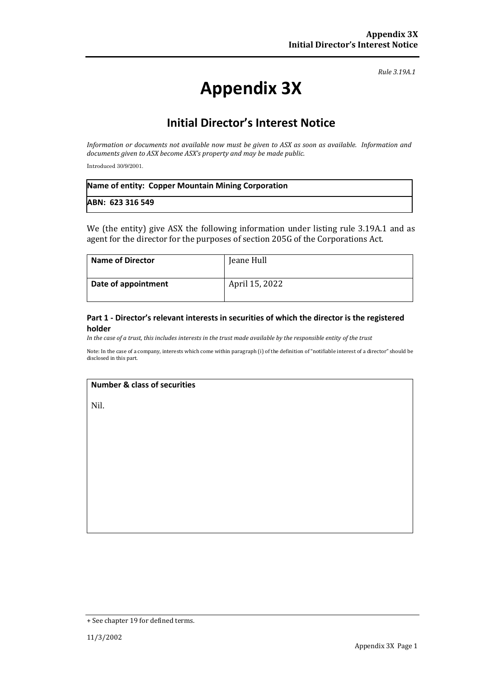*Rule 3.19A.1*

# **Appendix 3X**

## **Initial Director's Interest Notice**

*Information or documents not available now must be given to ASX as soon as available. Information and documents given to ASX become ASX's property and may be made public.*

Introduced 30/9/2001.

| Name of entity: Copper Mountain Mining Corporation |  |
|----------------------------------------------------|--|
| ABN: 623 316 549                                   |  |

We (the entity) give ASX the following information under listing rule 3.19A.1 and as agent for the director for the purposes of section 205G of the Corporations Act.

| <b>Name of Director</b> | Jeane Hull     |
|-------------------------|----------------|
| Date of appointment     | April 15, 2022 |

#### **Part 1 - Director's relevant interests in securities of which the director is the registered holder**

*In the case of a trust, this includes interests in the trust made available by the responsible entity of the trust*

Note: In the case of a company, interests which come within paragraph (i) of the definition of "notifiable interest of a director" should be disclosed in this part.

#### **Number & class of securities**

Nil.

<sup>+</sup> See chapter 19 for defined terms.